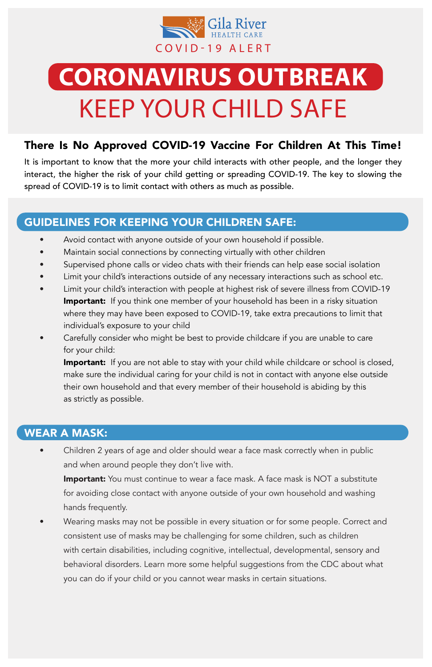#### GUIDELINES FOR KEEPING YOUR CHILDREN SAFE:

- Avoid contact with anyone outside of your own household if possible.
- Maintain social connections by connecting virtually with other children
- Supervised phone calls or video chats with their friends can help ease social isolation
- Limit your child's interactions outside of any necessary interactions such as school etc.
- Limit your child's interaction with people at highest risk of severe illness from COVID-19 **Important:** If you think one member of your household has been in a risky situation where they may have been exposed to COVID-19, take extra precautions to limit that individual's exposure to your child
- Carefully consider who might be best to provide childcare if you are unable to care for your child:

**Important:** If you are not able to stay with your child while childcare or school is closed, make sure the individual caring for your child is not in contact with anyone else outside their own household and that every member of their household is abiding by this as strictly as possible.

**Important:** You must continue to wear a face mask. A face mask is NOT a substitute for avoiding close contact with anyone outside of your own household and washing hands frequently.

Wearing masks may not be possible in every situation or for some people. Correct and consistent use of masks may be challenging for some children, such as children with certain disabilities, including cognitive, intellectual, developmental, sensory and behavioral disorders. Learn more some helpful suggestions from the CDC about what you can do if your child or you cannot wear masks in certain situations.

### WEAR A MASK:

• Children 2 years of age and older should wear a face mask correctly when in public and when around people they don't live with.



## **CORONAVIRUS OUTBREAK** KEEP YOUR CHILD SAFE

### There Is No Approved COVID-19 Vaccine For Children At This Time!

It is important to know that the more your child interacts with other people, and the longer they interact, the higher the risk of your child getting or spreading COVID-19. The key to slowing the spread of COVID-19 is to limit contact with others as much as possible.